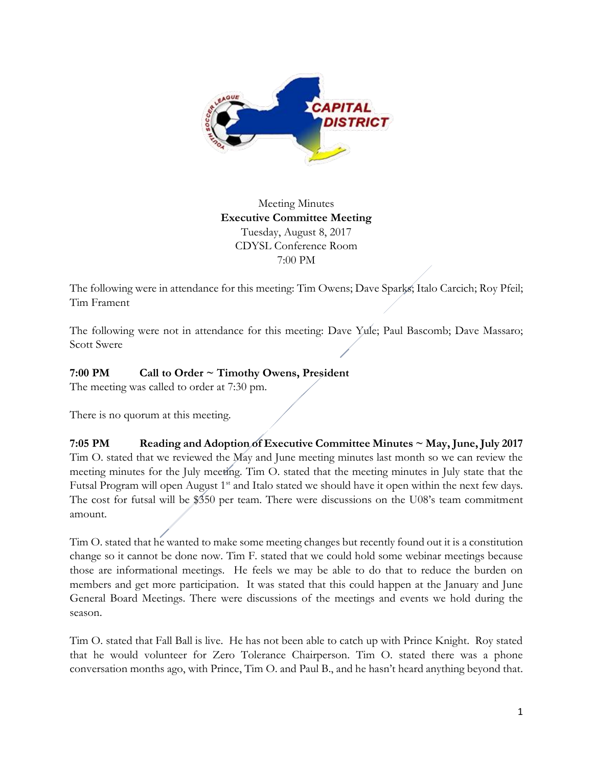

## Meeting Minutes **Executive Committee Meeting**  Tuesday, August 8, 2017 CDYSL Conference Room 7:00 PM

The following were in attendance for this meeting: Tim Owens; Dave Sparks; Italo Carcich; Roy Pfeil; Tim Frament

The following were not in attendance for this meeting: Dave Yule; Paul Bascomb; Dave Massaro; Scott Swere

## **7:00 PM Call to Order ~ Timothy Owens, President**

The meeting was called to order at 7:30 pm.

There is no quorum at this meeting.

**7:05 PM Reading and Adoption of Executive Committee Minutes ~ May, June, July 2017** Tim O. stated that we reviewed the May and June meeting minutes last month so we can review the meeting minutes for the July meeting. Tim O. stated that the meeting minutes in July state that the Futsal Program will open August 1<sup>st</sup> and Italo stated we should have it open within the next few days. The cost for futsal will be \$350 per team. There were discussions on the U08's team commitment amount.

Tim O. stated that he wanted to make some meeting changes but recently found out it is a constitution change so it cannot be done now. Tim F. stated that we could hold some webinar meetings because those are informational meetings. He feels we may be able to do that to reduce the burden on members and get more participation. It was stated that this could happen at the January and June General Board Meetings. There were discussions of the meetings and events we hold during the season.

Tim O. stated that Fall Ball is live. He has not been able to catch up with Prince Knight. Roy stated that he would volunteer for Zero Tolerance Chairperson. Tim O. stated there was a phone conversation months ago, with Prince, Tim O. and Paul B., and he hasn't heard anything beyond that.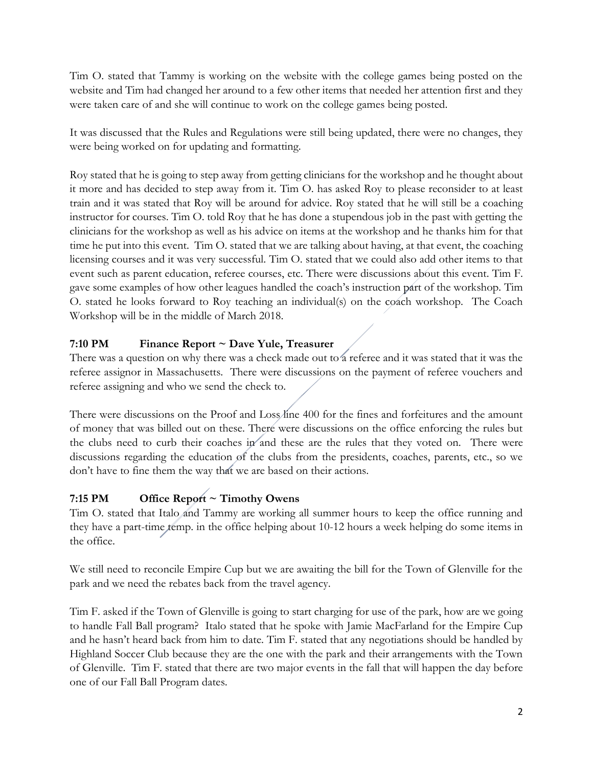Tim O. stated that Tammy is working on the website with the college games being posted on the website and Tim had changed her around to a few other items that needed her attention first and they were taken care of and she will continue to work on the college games being posted.

It was discussed that the Rules and Regulations were still being updated, there were no changes, they were being worked on for updating and formatting.

Roy stated that he is going to step away from getting clinicians for the workshop and he thought about it more and has decided to step away from it. Tim O. has asked Roy to please reconsider to at least train and it was stated that Roy will be around for advice. Roy stated that he will still be a coaching instructor for courses. Tim O. told Roy that he has done a stupendous job in the past with getting the clinicians for the workshop as well as his advice on items at the workshop and he thanks him for that time he put into this event. Tim O. stated that we are talking about having, at that event, the coaching licensing courses and it was very successful. Tim O. stated that we could also add other items to that event such as parent education, referee courses, etc. There were discussions about this event. Tim F. gave some examples of how other leagues handled the coach's instruction part of the workshop. Tim O. stated he looks forward to Roy teaching an individual(s) on the coach workshop. The Coach Workshop will be in the middle of March 2018.

# **7:10 PM Finance Report ~ Dave Yule, Treasurer**

There was a question on why there was a check made out to a referee and it was stated that it was the referee assignor in Massachusetts. There were discussions on the payment of referee vouchers and referee assigning and who we send the check to.

There were discussions on the Proof and Loss/ine 400 for the fines and forfeitures and the amount of money that was billed out on these. There were discussions on the office enforcing the rules but the clubs need to curb their coaches in and these are the rules that they voted on. There were discussions regarding the education of the clubs from the presidents, coaches, parents, etc., so we don't have to fine them the way that we are based on their actions.

# **7:15 PM Office Report ~ Timothy Owens**

Tim O. stated that Italo and Tammy are working all summer hours to keep the office running and they have a part-time temp. in the office helping about 10-12 hours a week helping do some items in the office.

We still need to reconcile Empire Cup but we are awaiting the bill for the Town of Glenville for the park and we need the rebates back from the travel agency.

Tim F. asked if the Town of Glenville is going to start charging for use of the park, how are we going to handle Fall Ball program? Italo stated that he spoke with Jamie MacFarland for the Empire Cup and he hasn't heard back from him to date. Tim F. stated that any negotiations should be handled by Highland Soccer Club because they are the one with the park and their arrangements with the Town of Glenville. Tim F. stated that there are two major events in the fall that will happen the day before one of our Fall Ball Program dates.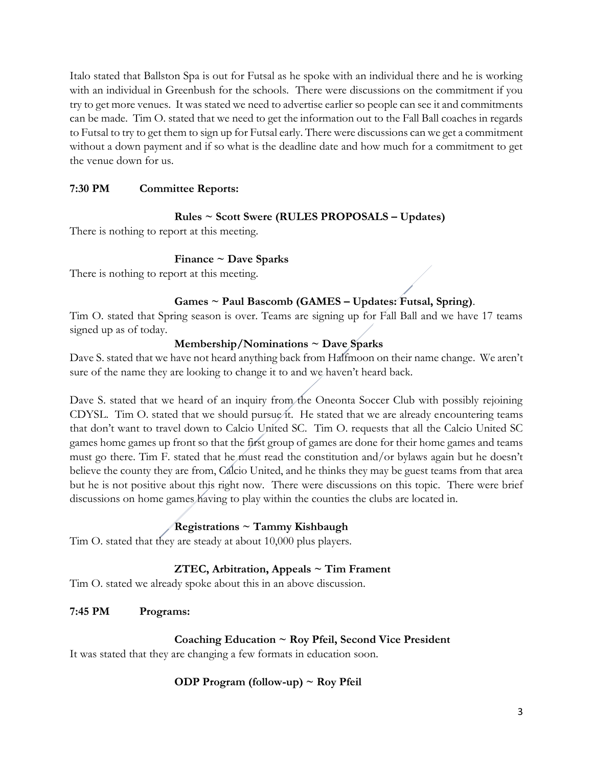Italo stated that Ballston Spa is out for Futsal as he spoke with an individual there and he is working with an individual in Greenbush for the schools. There were discussions on the commitment if you try to get more venues. It was stated we need to advertise earlier so people can see it and commitments can be made. Tim O. stated that we need to get the information out to the Fall Ball coaches in regards to Futsal to try to get them to sign up for Futsal early. There were discussions can we get a commitment without a down payment and if so what is the deadline date and how much for a commitment to get the venue down for us.

### **7:30 PM Committee Reports:**

#### **Rules ~ Scott Swere (RULES PROPOSALS – Updates)**

There is nothing to report at this meeting.

#### **Finance ~ Dave Sparks**

There is nothing to report at this meeting.

#### **Games ~ Paul Bascomb (GAMES – Updates: Futsal, Spring)**.

Tim O. stated that Spring season is over. Teams are signing up for Fall Ball and we have 17 teams signed up as of today.

#### **Membership/Nominations ~ Dave Sparks**

Dave S. stated that we have not heard anything back from Halfmoon on their name change. We aren't sure of the name they are looking to change it to and we haven't heard back.

Dave S. stated that we heard of an inquiry from the Oneonta Soccer Club with possibly rejoining CDYSL. Tim O. stated that we should pursue it. He stated that we are already encountering teams that don't want to travel down to Calcio United SC. Tim O. requests that all the Calcio United SC games home games up front so that the first group of games are done for their home games and teams must go there. Tim F. stated that he must read the constitution and/or bylaws again but he doesn't believe the county they are from, Calcio United, and he thinks they may be guest teams from that area but he is not positive about this right now. There were discussions on this topic. There were brief discussions on home games having to play within the counties the clubs are located in.

## **Registrations ~ Tammy Kishbaugh**

Tim O. stated that they are steady at about 10,000 plus players.

#### **ZTEC, Arbitration, Appeals ~ Tim Frament**

Tim O. stated we already spoke about this in an above discussion.

#### **7:45 PM Programs:**

#### **Coaching Education ~ Roy Pfeil, Second Vice President**

It was stated that they are changing a few formats in education soon.

#### **ODP Program (follow-up) ~ Roy Pfeil**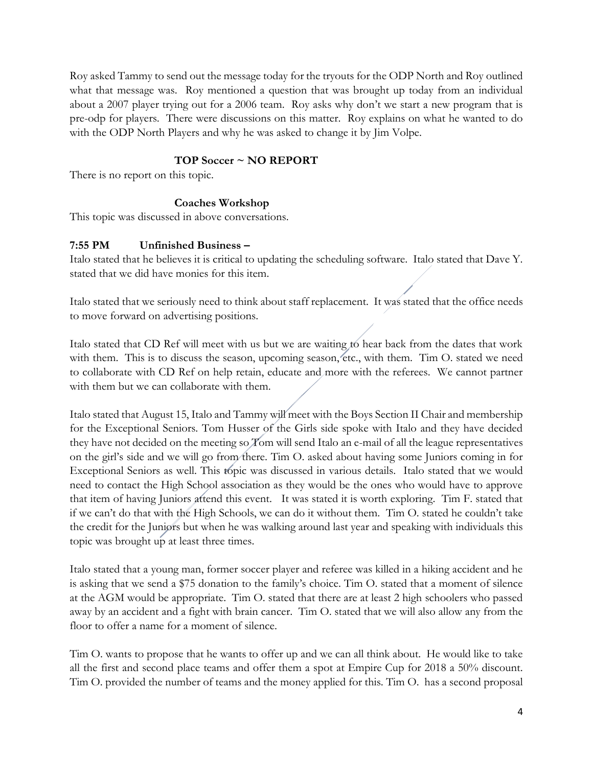Roy asked Tammy to send out the message today for the tryouts for the ODP North and Roy outlined what that message was. Roy mentioned a question that was brought up today from an individual about a 2007 player trying out for a 2006 team. Roy asks why don't we start a new program that is pre-odp for players. There were discussions on this matter. Roy explains on what he wanted to do with the ODP North Players and why he was asked to change it by Jim Volpe.

### **TOP Soccer ~ NO REPORT**

There is no report on this topic.

#### **Coaches Workshop**

This topic was discussed in above conversations.

#### **7:55 PM Unfinished Business –**

Italo stated that he believes it is critical to updating the scheduling software. Italo stated that Dave Y. stated that we did have monies for this item.

Italo stated that we seriously need to think about staff replacement. It was stated that the office needs to move forward on advertising positions.

Italo stated that CD Ref will meet with us but we are waiting to hear back from the dates that work with them. This is to discuss the season, upcoming season, etc., with them. Tim O. stated we need to collaborate with CD Ref on help retain, educate and more with the referees. We cannot partner with them but we can collaborate with them.

Italo stated that August 15, Italo and Tammy will meet with the Boys Section II Chair and membership for the Exceptional Seniors. Tom Husser of the Girls side spoke with Italo and they have decided they have not decided on the meeting so Tom will send Italo an e-mail of all the league representatives on the girl's side and we will go from there. Tim O. asked about having some Juniors coming in for Exceptional Seniors as well. This topic was discussed in various details. Italo stated that we would need to contact the High School association as they would be the ones who would have to approve that item of having Juniors attend this event. It was stated it is worth exploring. Tim F. stated that if we can't do that with the High Schools, we can do it without them. Tim O. stated he couldn't take the credit for the Juniors but when he was walking around last year and speaking with individuals this topic was brought up at least three times.

Italo stated that a young man, former soccer player and referee was killed in a hiking accident and he is asking that we send a \$75 donation to the family's choice. Tim O. stated that a moment of silence at the AGM would be appropriate. Tim O. stated that there are at least 2 high schoolers who passed away by an accident and a fight with brain cancer. Tim O. stated that we will also allow any from the floor to offer a name for a moment of silence.

Tim O. wants to propose that he wants to offer up and we can all think about. He would like to take all the first and second place teams and offer them a spot at Empire Cup for 2018 a 50% discount. Tim O. provided the number of teams and the money applied for this. Tim O. has a second proposal